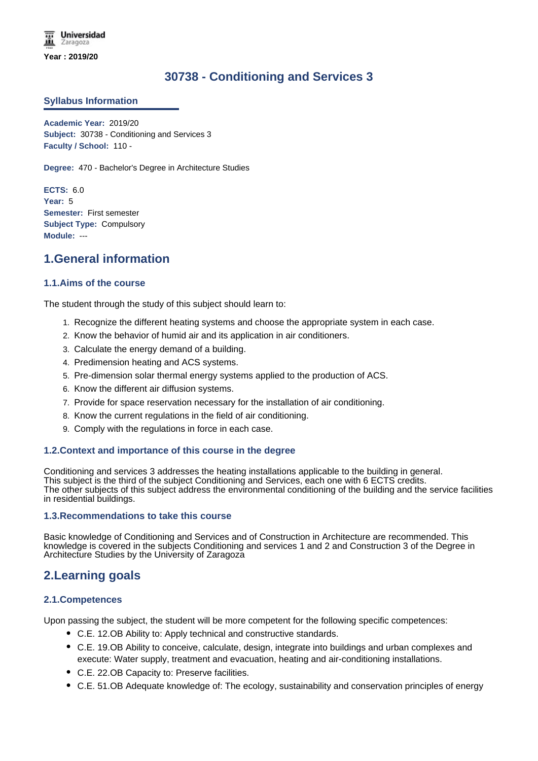# **30738 - Conditioning and Services 3**

### **Syllabus Information**

**Academic Year:** 2019/20 **Subject:** 30738 - Conditioning and Services 3 **Faculty / School:** 110 -

**Degree:** 470 - Bachelor's Degree in Architecture Studies

**ECTS:** 6.0 **Year:** 5 **Semester:** First semester **Subject Type:** Compulsory **Module:** ---

# **1.General information**

### **1.1.Aims of the course**

The student through the study of this subject should learn to:

- 1. Recognize the different heating systems and choose the appropriate system in each case.
- 2. Know the behavior of humid air and its application in air conditioners.
- 3. Calculate the energy demand of a building.
- 4. Predimension heating and ACS systems.
- 5. Pre-dimension solar thermal energy systems applied to the production of ACS.
- 6. Know the different air diffusion systems.
- 7. Provide for space reservation necessary for the installation of air conditioning.
- 8. Know the current regulations in the field of air conditioning.
- 9. Comply with the regulations in force in each case.

## **1.2.Context and importance of this course in the degree**

Conditioning and services 3 addresses the heating installations applicable to the building in general. This subject is the third of the subject Conditioning and Services, each one with 6 ECTS credits. The other subjects of this subject address the environmental conditioning of the building and the service facilities in residential buildings.

## **1.3.Recommendations to take this course**

Basic knowledge of Conditioning and Services and of Construction in Architecture are recommended. This knowledge is covered in the subjects Conditioning and services 1 and 2 and Construction 3 of the Degree in Architecture Studies by the University of Zaragoza

# **2.Learning goals**

## **2.1.Competences**

Upon passing the subject, the student will be more competent for the following specific competences:

- C.E. 12.OB Ability to: Apply technical and constructive standards.
- C.E. 19.OB Ability to conceive, calculate, design, integrate into buildings and urban complexes and execute: Water supply, treatment and evacuation, heating and air-conditioning installations.
- C.E. 22.OB Capacity to: Preserve facilities.
- C.E. 51.OB Adequate knowledge of: The ecology, sustainability and conservation principles of energy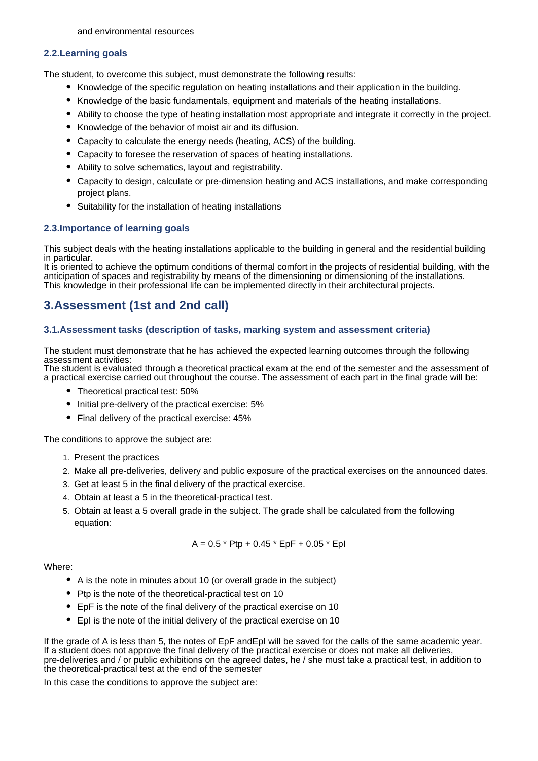## **2.2.Learning goals**

The student, to overcome this subject, must demonstrate the following results:

- Knowledge of the specific regulation on heating installations and their application in the building.
- Knowledge of the basic fundamentals, equipment and materials of the heating installations.
- Ability to choose the type of heating installation most appropriate and integrate it correctly in the project.
- Knowledge of the behavior of moist air and its diffusion.
- Capacity to calculate the energy needs (heating, ACS) of the building.
- Capacity to foresee the reservation of spaces of heating installations.
- Ability to solve schematics, layout and registrability.
- Capacity to design, calculate or pre-dimension heating and ACS installations, and make corresponding project plans.
- Suitability for the installation of heating installations

# **2.3.Importance of learning goals**

This subject deals with the heating installations applicable to the building in general and the residential building in particular.

It is oriented to achieve the optimum conditions of thermal comfort in the projects of residential building, with the anticipation of spaces and registrability by means of the dimensioning or dimensioning of the installations. This knowledge in their professional life can be implemented directly in their architectural projects.

# **3.Assessment (1st and 2nd call)**

## **3.1.Assessment tasks (description of tasks, marking system and assessment criteria)**

The student must demonstrate that he has achieved the expected learning outcomes through the following assessment activities:

The student is evaluated through a theoretical practical exam at the end of the semester and the assessment of a practical exercise carried out throughout the course. The assessment of each part in the final grade will be:

- Theoretical practical test: 50%
- Initial pre-delivery of the practical exercise: 5%
- Final delivery of the practical exercise: 45%

The conditions to approve the subject are:

- 1. Present the practices
- 2. Make all pre-deliveries, delivery and public exposure of the practical exercises on the announced dates.
- 3. Get at least 5 in the final delivery of the practical exercise.
- 4. Obtain at least a 5 in the theoretical-practical test.
- 5. Obtain at least a 5 overall grade in the subject. The grade shall be calculated from the following equation:

$$
A = 0.5 * Ptp + 0.45 * EpF + 0.05 * EpI
$$

Where:

- A is the note in minutes about 10 (or overall grade in the subject)
- Ptp is the note of the theoretical-practical test on 10
- EpF is the note of the final delivery of the practical exercise on 10
- EpI is the note of the initial delivery of the practical exercise on 10

If the grade of A is less than 5, the notes of EpF andEpI will be saved for the calls of the same academic year. If a student does not approve the final delivery of the practical exercise or does not make all deliveries, pre-deliveries and / or public exhibitions on the agreed dates, he / she must take a practical test, in addition to the theoretical-practical test at the end of the semester

In this case the conditions to approve the subject are: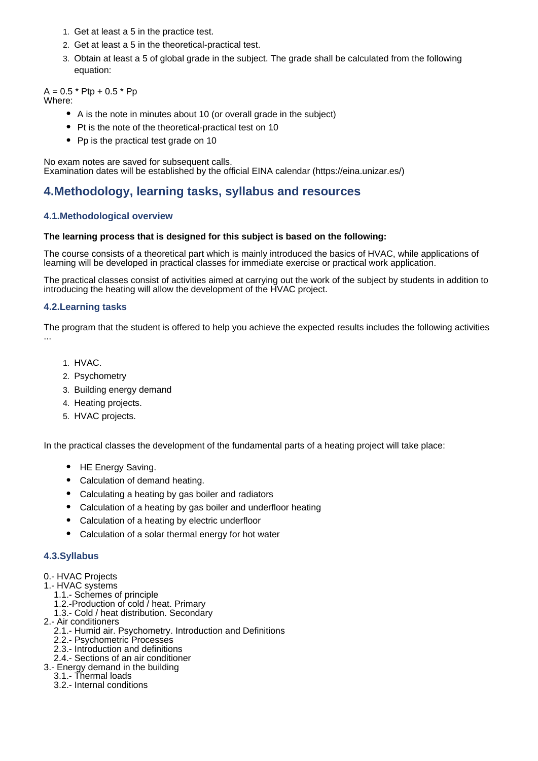- 1. Get at least a 5 in the practice test.
- 2. Get at least a 5 in the theoretical-practical test.
- 3. Obtain at least a 5 of global grade in the subject. The grade shall be calculated from the following equation:

 $A = 0.5 * Ptp + 0.5 * Pb$ Where:

- A is the note in minutes about 10 (or overall grade in the subject)
- Pt is the note of the theoretical-practical test on 10
- Pp is the practical test grade on 10

No exam notes are saved for subsequent calls. Examination dates will be established by the official EINA calendar (https://eina.unizar.es/)

# **4.Methodology, learning tasks, syllabus and resources**

## **4.1.Methodological overview**

### **The learning process that is designed for this subject is based on the following:**

The course consists of a theoretical part which is mainly introduced the basics of HVAC, while applications of learning will be developed in practical classes for immediate exercise or practical work application.

The practical classes consist of activities aimed at carrying out the work of the subject by students in addition to introducing the heating will allow the development of the HVAC project.

### **4.2.Learning tasks**

The program that the student is offered to help you achieve the expected results includes the following activities ...

- 1. HVAC.
- 2. Psychometry
- 3. Building energy demand
- 4. Heating projects.
- 5. HVAC projects.

In the practical classes the development of the fundamental parts of a heating project will take place:

- HE Energy Saving.
- Calculation of demand heating.
- Calculating a heating by gas boiler and radiators
- Calculation of a heating by gas boiler and underfloor heating
- Calculation of a heating by electric underfloor
- Calculation of a solar thermal energy for hot water  $\bullet$

## **4.3.Syllabus**

- 0.- HVAC Projects
- 1.- HVAC systems
	- 1.1.- Schemes of principle
	- 1.2.-Production of cold / heat. Primary
- 1.3.- Cold / heat distribution. Secondary 2.- Air conditioners
	- 2.1.- Humid air. Psychometry. Introduction and Definitions
	- 2.2.- Psychometric Processes
	- 2.3.- Introduction and definitions
	- 2.4.- Sections of an air conditioner
- 3.- Energy demand in the building
- 3.1.- Thermal loads
	- 3.2.- Internal conditions